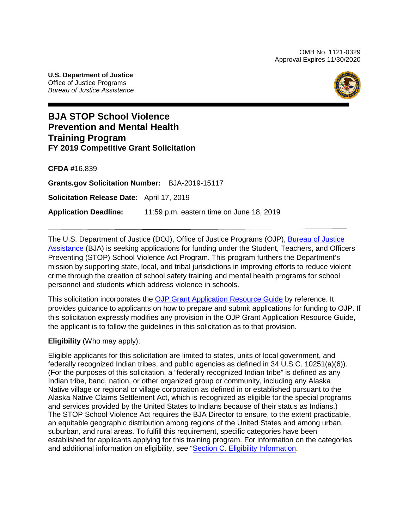OMB No. 1121-0329 Approval Expires 11/30/2020

**U.S. Department of Justice** Office of Justice Programs *Bureau of Justice Assistance*



# **BJA STOP School Violence Prevention and Mental Health Training Program FY 2019 Competitive Grant Solicitation**

**CFDA #**16.839

**Grants.gov Solicitation Number:** BJA-2019-15117

**Solicitation Release Date:** April 17, 2019

**Application Deadline:** 11:59 p.m. eastern time on June 18, 2019

The [U.S. Department of Justice](https://www.usdoj.gov/) (DOJ), Office [of Justice Programs](https://www.ojp.usdoj.gov/) (OJP), [Bureau of Justice](https://www.bja.gov/)  [Assistance](https://www.bja.gov/) (BJA) is seeking applications for funding under the Student, Teachers, and Officers Preventing (STOP) School Violence Act Program. This program furthers the Department's mission by supporting state, local, and tribal jurisdictions in improving efforts to reduce violent crime through the creation of school safety training and mental health programs for school personnel and students which address violence in schools.

This solicitation incorporates the OJP Grant [Application Resource Guide](https://www.ojp.gov/funding/Apply/Resources/Grant-App-Resource-Guide.htm) by reference. It provides guidance to applicants on how to prepare and submit applications for funding to OJP. If this solicitation expressly modifies any provision in the OJP Grant Application Resource Guide, the applicant is to follow the guidelines in this solicitation as to that provision.

**Eligibility** (Who may apply):

Eligible applicants for this solicitation are limited to states, units of local government, and federally recognized Indian tribes, and public agencies as defined in 34 U.S.C. 10251(a)(6)). (For the purposes of this solicitation, a "federally recognized Indian tribe" is defined as any Indian tribe, band, nation, or other organized group or community, including any Alaska Native village or regional or village corporation as defined in or established pursuant to the Alaska Native Claims Settlement Act, which is recognized as eligible for the special programs and services provided by the United States to Indians because of their status as Indians.) The STOP School Violence Act requires the BJA Director to ensure, to the extent practicable, an equitable geographic distribution among regions of the United States and among urban, suburban, and rural areas. To fulfill this requirement, specific categories have been established for applicants applying for this training program. For information on the categories and additional information on eligibility, see ["Section C. Eligibility Information.](#page-9-0)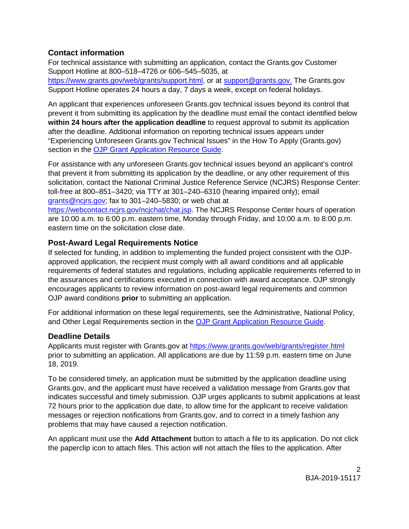# **Contact information**

For technical assistance with submitting an application, contact the Grants.gov Customer Support Hotline at 800–518–4726 or 606–545–5035, at [https://www.grants.gov/web/grants/support.html,](https://www.grants.gov/web/grants/support.html) or at [support@grants.gov.](mailto:support@grants.gov) The Grants.gov Support Hotline operates 24 hours a day, 7 days a week, except on federal holidays.

An applicant that experiences unforeseen Grants.gov technical issues beyond its control that prevent it from submitting its application by the deadline must email the contact identified below **within 24 hours after the application deadline** to request approval to submit its application after the deadline. Additional information on reporting technical issues appears under "Experiencing Unforeseen Grants.gov Technical Issues" in the How To Apply (Grants.gov) section in the [OJP Grant Application Resource Guide.](https://www.ojp.gov/funding/Apply/Resources/Grant-App-Resource-Guide.htm)

For assistance with any unforeseen Grants.gov technical issues beyond an applicant's control that prevent it from submitting its application by the deadline, or any other requirement of this solicitation, contact the National Criminal Justice Reference Service (NCJRS) Response Center: toll-free at 800–851–3420; via TTY at 301–240–6310 (hearing impaired only); email [grants@ncjrs.gov;](mailto:grants@ncjrs.gov) fax to 301–240–5830; or web chat at

[https://webcontact.ncjrs.gov/ncjchat/chat.jsp.](https://webcontact.ncjrs.gov/ncjchat/chat.jsp) The NCJRS Response Center hours of operation are 10:00 a.m. to 6:00 p.m. eastern time, Monday through Friday, and 10:00 a.m. to 8:00 p.m. eastern time on the solicitation close date.

## **Post-Award Legal Requirements Notice**

If selected for funding, in addition to implementing the funded project consistent with the OJPapproved application, the recipient must comply with all award conditions and all applicable requirements of federal statutes and regulations, including applicable requirements referred to in the assurances and certifications executed in connection with award acceptance. OJP strongly encourages applicants to review information on post-award legal requirements and common OJP award conditions **prior** to submitting an application.

For additional information on these legal requirements, see the Administrative, National Policy, and Other Legal Requirements section in the [OJP Grant Application Resource Guide.](https://www.ojp.gov/funding/Apply/Resources/Grant-App-Resource-Guide.htm)

# **Deadline Details**

Applicants must register with Grants.gov at<https://www.grants.gov/web/grants/register.html> prior to submitting an application. All applications are due by 11:59 p.m. eastern time on June 18, 2019.

To be considered timely, an application must be submitted by the application deadline using Grants.gov, and the applicant must have received a validation message from Grants.gov that indicates successful and timely submission. OJP urges applicants to submit applications at least 72 hours prior to the application due date, to allow time for the applicant to receive validation messages or rejection notifications from Grants.gov, and to correct in a timely fashion any problems that may have caused a rejection notification.

An applicant must use the **Add Attachment** button to attach a file to its application. Do not click the paperclip icon to attach files. This action will not attach the files to the application. After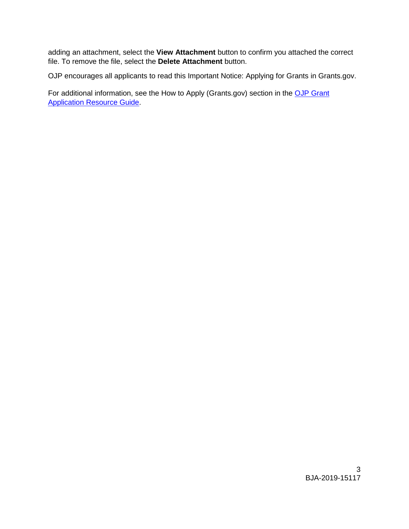adding an attachment, select the **View Attachment** button to confirm you attached the correct file. To remove the file, select the **Delete Attachment** button.

OJP encourages all applicants to read this [Important Notice: Applying for Grants in Grants.gov.](https://ojp.gov/funding/Apply/Grants-govInfo.htm)

For additional information, see the How to Apply (Grants.gov) section in the OJP Grant [Application Resource Guide.](https://www.ojp.gov/funding/Apply/Resources/Grant-App-Resource-Guide.htm)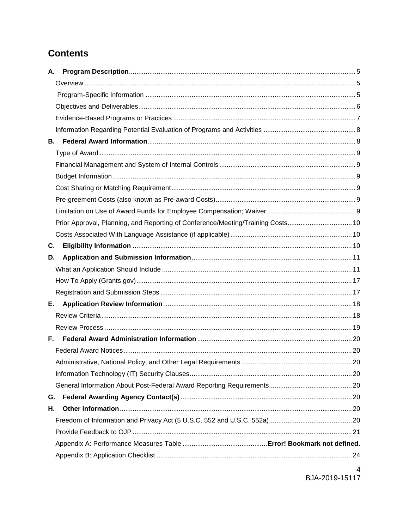# **Contents**

| А.                                                                              |  |
|---------------------------------------------------------------------------------|--|
|                                                                                 |  |
|                                                                                 |  |
|                                                                                 |  |
|                                                                                 |  |
|                                                                                 |  |
| В.                                                                              |  |
|                                                                                 |  |
|                                                                                 |  |
|                                                                                 |  |
|                                                                                 |  |
|                                                                                 |  |
|                                                                                 |  |
| Prior Approval, Planning, and Reporting of Conference/Meeting/Training Costs 10 |  |
|                                                                                 |  |
| C.                                                                              |  |
| D.                                                                              |  |
|                                                                                 |  |
|                                                                                 |  |
|                                                                                 |  |
| Е.                                                                              |  |
|                                                                                 |  |
|                                                                                 |  |
| F.                                                                              |  |
|                                                                                 |  |
|                                                                                 |  |
|                                                                                 |  |
|                                                                                 |  |
| G.                                                                              |  |
| Н.                                                                              |  |
|                                                                                 |  |
|                                                                                 |  |
|                                                                                 |  |
|                                                                                 |  |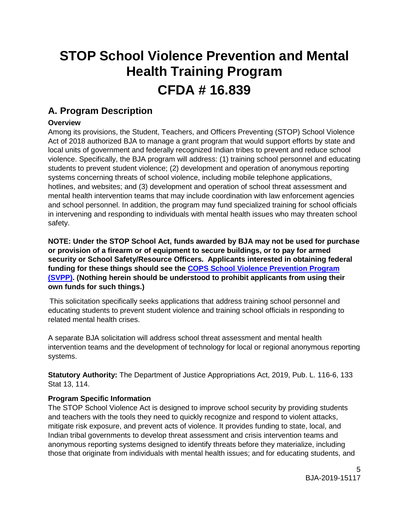# **STOP School Violence Prevention and Mental Health Training Program CFDA # 16.839**

# <span id="page-4-0"></span>**A. Program Description**

# <span id="page-4-1"></span>**Overview**

Among its provisions, the Student, Teachers, and Officers Preventing (STOP) School Violence Act of 2018 authorized BJA to manage a grant program that would support efforts by state and local units of government and federally recognized Indian tribes to prevent and reduce school violence. Specifically, the BJA program will address: (1) training school personnel and educating students to prevent student violence; (2) development and operation of anonymous reporting systems concerning threats of school violence, including mobile telephone applications, hotlines, and websites; and (3) development and operation of school threat assessment and mental health intervention teams that may include coordination with law enforcement agencies and school personnel. In addition, the program may fund specialized training for school officials in intervening and responding to individuals with mental health issues who may threaten school safety.

**NOTE: Under the STOP School Act, funds awarded by BJA may not be used for purchase or provision of a firearm or of equipment to secure buildings, or to pay for armed security or School Safety/Resource Officers. Applicants interested in obtaining federal funding for these things should see the [COPS School Violence Prevention Program](https://cops.usdoj.gov/svpp)  [\(SVPP\).](https://cops.usdoj.gov/svpp) (Nothing herein should be understood to prohibit applicants from using their own funds for such things.)**

This solicitation specifically seeks applications that address training school personnel and educating students to prevent student violence and training school officials in responding to related mental health crises.

A separate BJA solicitation will address school threat assessment and mental health intervention teams and the development of technology for local or regional anonymous reporting systems.

**Statutory Authority:** The Department of Justice Appropriations Act, 2019, Pub. L. 116-6, 133 Stat 13, 114.

# <span id="page-4-2"></span>**Program Specific Information**

The STOP School Violence Act is designed to improve school security by providing students and teachers with the tools they need to quickly recognize and respond to violent attacks, mitigate risk exposure, and prevent acts of violence. It provides funding to state, local, and Indian tribal governments to develop threat assessment and crisis intervention teams and anonymous reporting systems designed to identify threats before they materialize, including those that originate from individuals with mental health issues; and for educating students, and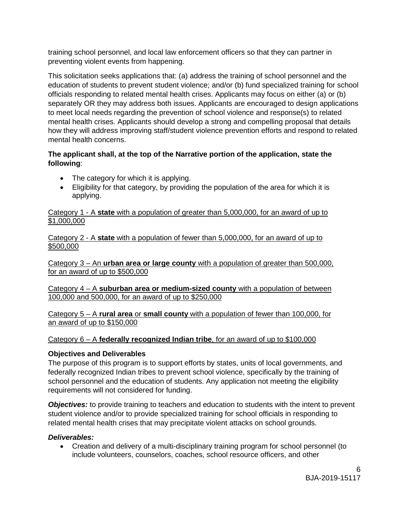training school personnel, and local law enforcement officers so that they can partner in preventing violent events from happening.

This solicitation seeks applications that: (a) address the training of school personnel and the education of students to prevent student violence; and/or (b) fund specialized training for school officials responding to related mental health crises. Applicants may focus on either (a) or (b) separately OR they may address both issues. Applicants are encouraged to design applications to meet local needs regarding the prevention of school violence and response(s) to related mental health crises. Applicants should develop a strong and compelling proposal that details how they will address improving staff/student violence prevention efforts and respond to related mental health concerns.

#### **The applicant shall, at the top of the Narrative portion of the application, state the following**:

- The category for which it is applying.
- Eligibility for that category, by providing the population of the area for which it is applying.

Category 1 - A **state** with a population of greater than 5,000,000, for an award of up to \$1,000,000

Category 2 - A **state** with a population of fewer than 5,000,000, for an award of up to \$500,000

Category 3 – An **urban area or large county** with a population of greater than 500,000, for an award of up to \$500,000

Category 4 – A **suburban area or medium-sized county** with a population of between 100,000 and 500,000, for an award of up to \$250,000

Category 5 – A **rural area** or **small county** with a population of fewer than 100,000, for an award of up to \$150,000

## Category 6 – A **federally recognized Indian tribe**, for an award of up to \$100,000

#### <span id="page-5-0"></span>**Objectives and Deliverables**

The purpose of this program is to support efforts by states, units of local governments, and federally recognized Indian tribes to prevent school violence, specifically by the training of school personnel and the education of students. Any application not meeting the eligibility requirements will not considered for funding.

**Objectives:** to provide training to teachers and education to students with the intent to prevent student violence and/or to provide specialized training for school officials in responding to related mental health crises that may precipitate violent attacks on school grounds.

#### *Deliverables:*

• Creation and delivery of a multi-disciplinary training program for school personnel (to include volunteers, counselors, coaches, school resource officers, and other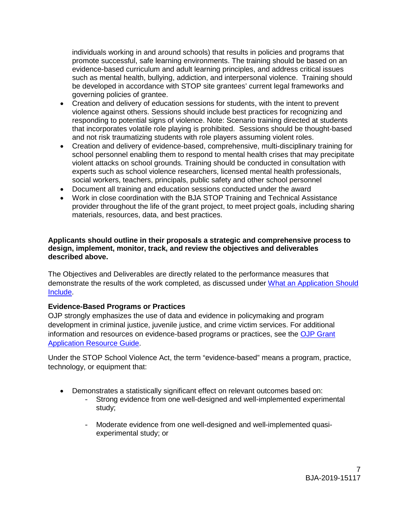individuals working in and around schools) that results in policies and programs that promote successful, safe learning environments. The training should be based on an evidence-based curriculum and adult learning principles, and address critical issues such as mental health, bullying, addiction, and interpersonal violence. Training should be developed in accordance with STOP site grantees' current legal frameworks and governing policies of grantee.

- Creation and delivery of education sessions for students, with the intent to prevent violence against others. Sessions should include best practices for recognizing and responding to potential signs of violence. Note: Scenario training directed at students that incorporates volatile role playing is prohibited. Sessions should be thought-based and not risk traumatizing students with role players assuming violent roles.
- Creation and delivery of evidence-based, comprehensive, multi-disciplinary training for school personnel enabling them to respond to mental health crises that may precipitate violent attacks on school grounds. Training should be conducted in consultation with experts such as school violence researchers, licensed mental health professionals, social workers, teachers, principals, public safety and other school personnel
- Document all training and education sessions conducted under the award
- Work in close coordination with the BJA STOP Training and Technical Assistance provider throughout the life of the grant project, to meet project goals, including sharing materials, resources, data, and best practices.

#### **Applicants should outline in their proposals a strategic and comprehensive process to design, implement, monitor, track, and review the objectives and deliverables described above.**

The Objectives and Deliverables are directly related to the performance measures that demonstrate the results of the work completed, as discussed under [What an Application Should](#page-10-2)  [Include.](#page-10-2)

#### <span id="page-6-0"></span>**Evidence-Based Programs or Practices**

OJP strongly emphasizes the use of data and evidence in policymaking and program development in criminal justice, juvenile justice, and crime victim services. For additional information and resources on evidence-based programs or practices, see the [OJP Grant](https://www.ojp.gov/funding/Apply/Resources/Grant-App-Resource-Guide.htm)  [Application Resource Guide.](https://www.ojp.gov/funding/Apply/Resources/Grant-App-Resource-Guide.htm)

<span id="page-6-1"></span>Under the STOP School Violence Act, the term "evidence-based" means a program, practice, technology, or equipment that:

- Demonstrates a statistically significant effect on relevant outcomes based on:
	- Strong evidence from one well-designed and well-implemented experimental study;
	- Moderate evidence from one well-designed and well-implemented quasiexperimental study; or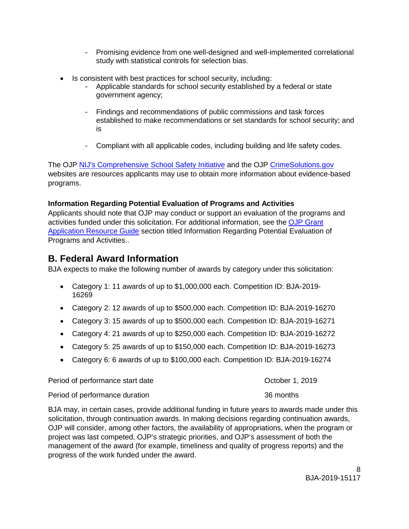- Promising evidence from one well-designed and well-implemented correlational study with statistical controls for selection bias.
- Is consistent with best practices for school security, including:
	- Applicable standards for school security established by a federal or state government agency;
	- Findings and recommendations of public commissions and task forces established to make recommendations or set standards for school security; and is
	- Compliant with all applicable codes, including building and life safety codes.

The OJP [NIJ's Comprehensive School Safety Initiative](https://nij.gov/topics/crime/school-crime/Pages/school-safety-initiative.aspx) and the OJP [CrimeSolutions.gov](https://www.crimesolutions.gov/) websites are resources applicants may use to obtain more information about evidence-based programs.

#### **Information Regarding Potential Evaluation of Programs and Activities**

Applicants should note that OJP may conduct or support an evaluation of the programs and activities funded under this solicitation. For additional information, see the [OJP Grant](https://www.ojp.gov/funding/Apply/Resources/Grant-App-Resource-Guide.htm)  [Application Resource Guide](https://www.ojp.gov/funding/Apply/Resources/Grant-App-Resource-Guide.htm) section titled Information Regarding Potential Evaluation of Programs and Activities..

# <span id="page-7-0"></span>**B. Federal Award Information**

BJA expects to make the following number of awards by category under this solicitation:

- Category 1: 11 awards of up to \$1,000,000 each. Competition ID: BJA-2019- 16269
- Category 2: 12 awards of up to \$500,000 each. Competition ID: BJA-2019-16270
- Category 3: 15 awards of up to \$500,000 each. Competition ID: BJA-2019-16271
- Category 4: 21 awards of up to \$250,000 each. Competition ID: BJA-2019-16272
- Category 5: 25 awards of up to \$150,000 each. Competition ID: BJA-2019-16273
- Category 6: 6 awards of up to \$100,000 each. Competition ID: BJA-2019-16274

| Period of performance start date | October 1, 2019 |
|----------------------------------|-----------------|
| Period of performance duration   | 36 months       |

BJA may, in certain cases, provide additional funding in future years to awards made under this solicitation, through continuation awards. In making decisions regarding continuation awards, OJP will consider, among other factors, the availability of appropriations, when the program or project was last competed, OJP's strategic priorities, and OJP's assessment of both the management of the award (for example, timeliness and quality of progress reports) and the progress of the work funded under the award.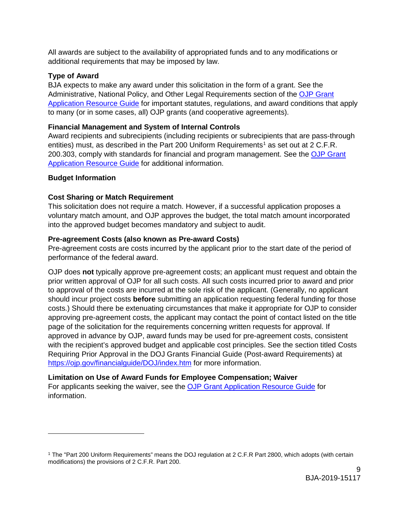All awards are subject to the availability of appropriated funds and to any modifications or additional requirements that may be imposed by law.

#### <span id="page-8-0"></span>**Type of Award**

BJA expects to make any award under this solicitation in the form of a grant. See the Administrative, National Policy, and Other Legal Requirements section of the [OJP Grant](https://ojp.gov/funding/Apply/Resources/Grant-App-Resource-Guide.htm)  [Application Resource Guide](https://ojp.gov/funding/Apply/Resources/Grant-App-Resource-Guide.htm) for important statutes, regulations, and award conditions that apply to many (or in some cases, all) OJP grants (and cooperative agreements).

#### <span id="page-8-1"></span>**Financial Management and System of Internal Controls**

Award recipients and subrecipients (including recipients or subrecipients that are pass-through entities) must, as described in the Part 200 Uniform Requirements<sup>[1](#page-8-6)</sup> as set out at 2 C.F.R. 200.303, comply with standards for financial and program management. See the OJP Grant [Application Resource Guide](https://www.ojp.gov/funding/Apply/Resources/Grant-App-Resource-Guide.htm) for additional information.

#### <span id="page-8-3"></span><span id="page-8-2"></span>**Budget Information**

 $\overline{a}$ 

#### **Cost Sharing or Match Requirement**

This solicitation does not require a match. However, if a successful application proposes a voluntary match amount, and OJP approves the budget, the total match amount incorporated into the approved budget becomes mandatory and subject to audit.

#### <span id="page-8-4"></span>**Pre-agreement Costs (also known as Pre-award Costs)**

Pre-agreement costs are costs incurred by the applicant prior to the start date of the period of performance of the federal award.

OJP does **not** typically approve pre-agreement costs; an applicant must request and obtain the prior written approval of OJP for all such costs. All such costs incurred prior to award and prior to approval of the costs are incurred at the sole risk of the applicant. (Generally, no applicant should incur project costs **before** submitting an application requesting federal funding for those costs.) Should there be extenuating circumstances that make it appropriate for OJP to consider approving pre-agreement costs, the applicant may contact the point of contact listed on the title page of the solicitation for the requirements concerning written requests for approval. If approved in advance by OJP, award funds may be used for pre-agreement costs, consistent with the recipient's approved budget and applicable cost principles. See the section titled Costs Requiring Prior Approval in the DOJ Grants Financial Guide (Post-award Requirements) at <https://ojp.gov/financialguide/DOJ/index.htm> for more information.

## <span id="page-8-5"></span>**Limitation on Use of Award Funds for Employee Compensation; Waiver**

For applicants seeking the waiver, see the [OJP Grant Application Resource Guide](https://www.ojp.gov/funding/Apply/Resources/Grant-App-Resource-Guide.htm) for information.

<span id="page-8-6"></span><sup>1</sup> The "Part 200 Uniform Requirements" means the DOJ regulation at 2 C.F.R Part 2800, which adopts (with certain modifications) the provisions of 2 C.F.R. Part 200.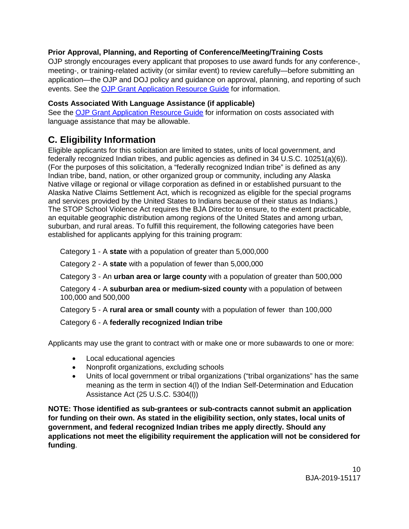# <span id="page-9-1"></span>**Prior Approval, Planning, and Reporting of Conference/Meeting/Training Costs**

OJP strongly encourages every applicant that proposes to use award funds for any conference-, meeting-, or training-related activity (or similar event) to review carefully—before submitting an application—the OJP and DOJ policy and guidance on approval, planning, and reporting of such events. See the [OJP Grant Application Resource Guide](https://www.ojp.gov/funding/Apply/Resources/Grant-App-Resource-Guide.htm) for information.

# <span id="page-9-2"></span>**Costs Associated With Language Assistance (if applicable)**

See the [OJP Grant Application Resource Guide](https://www.ojp.gov/funding/Apply/Resources/Grant-App-Resource-Guide.htm) for information on costs associated with language assistance that may be allowable.

# <span id="page-9-0"></span>**C. Eligibility Information**

Eligible applicants for this solicitation are limited to states, units of local government, and federally recognized Indian tribes, and public agencies as defined in 34 U.S.C. 10251(a)(6)). (For the purposes of this solicitation, a "federally recognized Indian tribe" is defined as any Indian tribe, band, nation, or other organized group or community, including any Alaska Native village or regional or village corporation as defined in or established pursuant to the Alaska Native Claims Settlement Act, which is recognized as eligible for the special programs and services provided by the United States to Indians because of their status as Indians.) The STOP School Violence Act requires the BJA Director to ensure, to the extent practicable, an equitable geographic distribution among regions of the United States and among urban, suburban, and rural areas. To fulfill this requirement, the following categories have been established for applicants applying for this training program:

Category 1 - A **state** with a population of greater than 5,000,000

Category 2 - A **state** with a population of fewer than 5,000,000

Category 3 - An **urban area or large county** with a population of greater than 500,000

Category 4 - A **suburban area or medium-sized county** with a population of between 100,000 and 500,000

Category 5 - A **rural area or small county** with a population of fewer than 100,000

Category 6 - A **federally recognized Indian tribe**

Applicants may use the grant to contract with or make one or more subawards to one or more:

- Local educational agencies
- Nonprofit organizations, excluding schools
- Units of local government or tribal organizations ("tribal organizations" has the same meaning as the term in section 4(l) of the Indian Self-Determination and Education Assistance Act (25 U.S.C. 5304(l))

**NOTE: Those identified as sub-grantees or sub-contracts cannot submit an application for funding on their own. As stated in the eligibility section, only states, local units of government, and federal recognized Indian tribes me apply directly. Should any applications not meet the eligibility requirement the application will not be considered for funding**.

> 10 BJA-2019-15117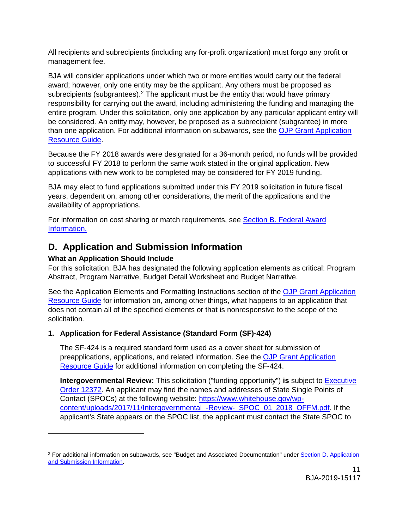All recipients and subrecipients (including any for-profit organization) must forgo any profit or management fee.

BJA will consider applications under which two or more entities would carry out the federal award; however, only one entity may be the applicant. Any others must be proposed as subrecipients (subgrantees).<sup>[2](#page-10-3)</sup> The applicant must be the entity that would have primary responsibility for carrying out the award, including administering the funding and managing the entire program. Under this solicitation, only one application by any particular applicant entity will be considered. An entity may, however, be proposed as a subrecipient (subgrantee) in more than one application. For additional information on subawards, see the [OJP Grant Application](https://www.ojp.gov/funding/Apply/Resources/Grant-App-Resource-Guide.htm)  [Resource Guide.](https://www.ojp.gov/funding/Apply/Resources/Grant-App-Resource-Guide.htm)

Because the FY 2018 awards were designated for a 36-month period, no funds will be provided to successful FY 2018 to perform the same work stated in the original application. New applications with new work to be completed may be considered for FY 2019 funding.

BJA may elect to fund applications submitted under this FY 2019 solicitation in future fiscal years, dependent on, among other considerations, the merit of the applications and the availability of appropriations.

For information on cost sharing or match requirements, see Section B. Federal Award [Information.](#page-8-3)

# <span id="page-10-2"></span><span id="page-10-0"></span>**D. Application and Submission Information**

# <span id="page-10-1"></span>**What an Application Should Include**

 $\overline{a}$ 

For this solicitation, BJA has designated the following application elements as critical: Program Abstract, Program Narrative, Budget Detail Worksheet and Budget Narrative.

See the Application Elements and Formatting Instructions section of the [OJP Grant Application](https://ojp.gov/funding/Apply/Resources/Grant-App-Resource-Guide.htm)  [Resource Guide](https://ojp.gov/funding/Apply/Resources/Grant-App-Resource-Guide.htm) for information on, among other things, what happens to an application that does not contain all of the specified elements or that is nonresponsive to the scope of the solicitation*.*

# **1. Application for Federal Assistance (Standard Form (SF)-424)**

The SF-424 is a required standard form used as a cover sheet for submission of preapplications, applications, and related information. See the [OJP Grant Application](https://www.ojp.gov/funding/Apply/Resources/Grant-App-Resource-Guide.htm)  [Resource Guide](https://www.ojp.gov/funding/Apply/Resources/Grant-App-Resource-Guide.htm) for additional information on completing the SF-424.

**Intergovernmental Review:** This solicitation ("funding opportunity") **is** subject to [Executive](https://www.archives.gov/federal-register/codification/executive-order/12372.html)  [Order 12372.](https://www.archives.gov/federal-register/codification/executive-order/12372.html) An applicant may find the names and addresses of State Single Points of Contact (SPOCs) at the following website: [https://www.whitehouse.gov/wp](https://www.whitehouse.gov/wp-content/uploads/2017/11/Intergovernmental_-Review-_SPOC_01_2018_OFFM.pdf)[content/uploads/2017/11/Intergovernmental\\_-Review-\\_SPOC\\_01\\_2018\\_OFFM.pdf.](https://www.whitehouse.gov/wp-content/uploads/2017/11/Intergovernmental_-Review-_SPOC_01_2018_OFFM.pdf) If the applicant's State appears on the SPOC list, the applicant must contact the State SPOC to

<span id="page-10-3"></span><sup>2</sup> For additional information on subawards, see "Budget and Associated Documentation" under [Section D. Application](#page-10-1)  [and Submission Information.](#page-10-1)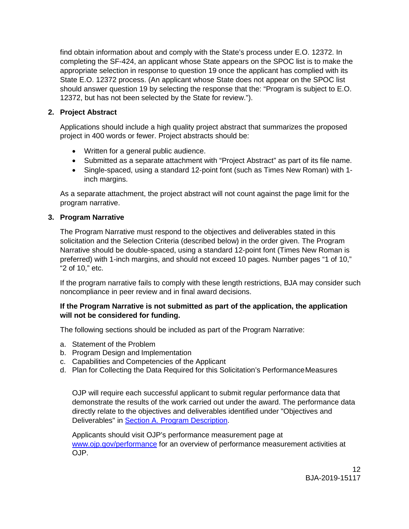find obtain information about and comply with the State's process under E.O. 12372. In completing the SF-424, an applicant whose State appears on the SPOC list is to make the appropriate selection in response to question 19 once the applicant has complied with its State E.O. 12372 process. (An applicant whose State does not appear on the SPOC list should answer question 19 by selecting the response that the: "Program is subject to E.O. 12372, but has not been selected by the State for review.").

#### **2. Project Abstract**

Applications should include a high quality project abstract that summarizes the proposed project in 400 words or fewer. Project abstracts should be:

- Written for a general public audience.
- Submitted as a separate attachment with "Project Abstract" as part of its file name.
- Single-spaced, using a standard 12-point font (such as Times New Roman) with 1 inch margins.

As a separate attachment, the project abstract will not count against the page limit for the program narrative.

#### **3. Program Narrative**

The Program Narrative must respond to the objectives and deliverables stated in this solicitation and the Selection Criteria (described below) in the order given. The Program Narrative should be double-spaced, using a standard 12-point font (Times New Roman is preferred) with 1-inch margins, and should not exceed 10 pages. Number pages "1 of 10," "2 of 10," etc.

If the program narrative fails to comply with these length restrictions, BJA may consider such noncompliance in peer review and in final award decisions.

#### **If the Program Narrative is not submitted as part of the application, the application will not be considered for funding.**

The following sections should be included as part of the Program Narrative:

- a. Statement of the Problem
- b. Program Design and Implementation
- c. Capabilities and Competencies of the Applicant
- d. Plan for Collecting the Data Required for this Solicitation's PerformanceMeasures

OJP will require each successful applicant to submit regular performance data that demonstrate the results of the work carried out under the award. The performance data directly relate to the objectives and deliverables identified under "Objectives and Deliverables" in [Section A. Program Description.](#page-4-1)

Applicants should visit OJP's performance measurement page at [www.ojp.gov/performance](https://www.ojp.gov/performance) for an overview of performance measurement activities at OJP.

> 12 BJA-2019-15117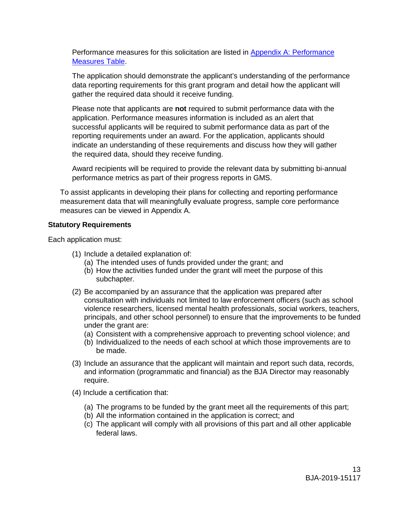Performance measures for this solicitation are listed in [Appendix A: Performance](#page-21-0)  [Measures Table.](#page-21-0)

The application should demonstrate the applicant's understanding of the performance data reporting requirements for this grant program and detail how the applicant will gather the required data should it receive funding.

Please note that applicants are **not** required to submit performance data with the application. Performance measures information is included as an alert that successful applicants will be required to submit performance data as part of the reporting requirements under an award. For the application, applicants should indicate an understanding of these requirements and discuss how they will gather the required data, should they receive funding.

Award recipients will be required to provide the relevant data by submitting bi-annual performance metrics as part of their progress reports in GMS.

To assist applicants in developing their plans for collecting and reporting performance measurement data that will meaningfully evaluate progress, sample core performance measures can be viewed in Appendix A.

#### **Statutory Requirements**

Each application must:

- (1) Include a detailed explanation of:
	- (a) The intended uses of funds provided under the grant; and
	- (b) How the activities funded under the grant will meet the purpose of this subchapter.
- (2) Be accompanied by an assurance that the application was prepared after consultation with individuals not limited to law enforcement officers (such as school violence researchers, licensed mental health professionals, social workers, teachers, principals, and other school personnel) to ensure that the improvements to be funded under the grant are:
	- (a) Consistent with a comprehensive approach to preventing school violence; and
	- (b) Individualized to the needs of each school at which those improvements are to be made.
- (3) Include an assurance that the applicant will maintain and report such data, records, and information (programmatic and financial) as the BJA Director may reasonably require.
- (4) Include a certification that:
	- (a) The programs to be funded by the grant meet all the requirements of this part;
	- (b) All the information contained in the application is correct; and
	- (c) The applicant will comply with all provisions of this part and all other applicable federal laws.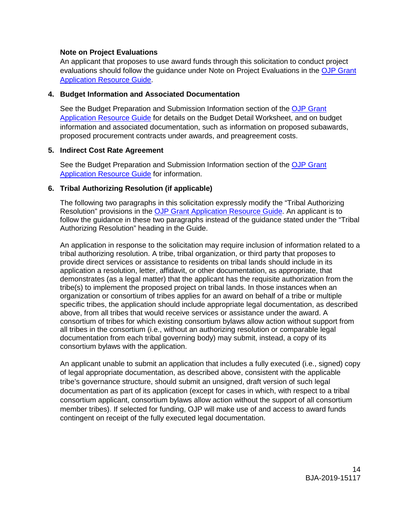#### **Note on Project Evaluations**

An applicant that proposes to use award funds through this solicitation to conduct project evaluations should follow the guidance under Note on Project Evaluations in the [OJP Grant](https://www.ojp.gov/funding/Apply/Resources/Grant-App-Resource-Guide.htm)  [Application Resource Guide.](https://www.ojp.gov/funding/Apply/Resources/Grant-App-Resource-Guide.htm)

#### **4. Budget Information and Associated Documentation**

See the Budget Preparation and Submission Information section of the [OJP Grant](https://www.ojp.gov/funding/Apply/Resources/Grant-App-Resource-Guide.htm)  [Application Resource Guide](https://www.ojp.gov/funding/Apply/Resources/Grant-App-Resource-Guide.htm) for details on the Budget Detail Worksheet, and on budget information and associated documentation, such as information on proposed subawards, proposed procurement contracts under awards, and preagreement costs.

#### **5. Indirect Cost Rate Agreement**

See the Budget Preparation and Submission Information section of the OJP Grant [Application Resource Guide](https://www.ojp.gov/funding/Apply/Resources/Grant-App-Resource-Guide.htm) for information.

#### **6. Tribal Authorizing Resolution (if applicable)**

The following two paragraphs in this solicitation expressly modify the "Tribal Authorizing Resolution" provisions in the [OJP Grant Application Resource Guide.](https://www.ojp.gov/funding/Apply/Resources/Grant-App-Resource-Guide.htm) An applicant is to follow the guidance in these two paragraphs instead of the guidance stated under the "Tribal Authorizing Resolution" heading in the Guide.

An application in response to the solicitation may require inclusion of information related to a tribal authorizing resolution. A tribe, tribal organization, or third party that proposes to provide direct services or assistance to residents on tribal lands should include in its application a resolution, letter, affidavit, or other documentation, as appropriate, that demonstrates (as a legal matter) that the applicant has the requisite authorization from the tribe(s) to implement the proposed project on tribal lands. In those instances when an organization or consortium of tribes applies for an award on behalf of a tribe or multiple specific tribes, the application should include appropriate legal documentation, as described above, from all tribes that would receive services or assistance under the award. A consortium of tribes for which existing consortium bylaws allow action without support from all tribes in the consortium (i.e., without an authorizing resolution or comparable legal documentation from each tribal governing body) may submit, instead, a copy of its consortium bylaws with the application.

An applicant unable to submit an application that includes a fully executed (i.e., signed) copy of legal appropriate documentation, as described above, consistent with the applicable tribe's governance structure, should submit an unsigned, draft version of such legal documentation as part of its application (except for cases in which, with respect to a tribal consortium applicant, consortium bylaws allow action without the support of all consortium member tribes). If selected for funding, OJP will make use of and access to award funds contingent on receipt of the fully executed legal documentation.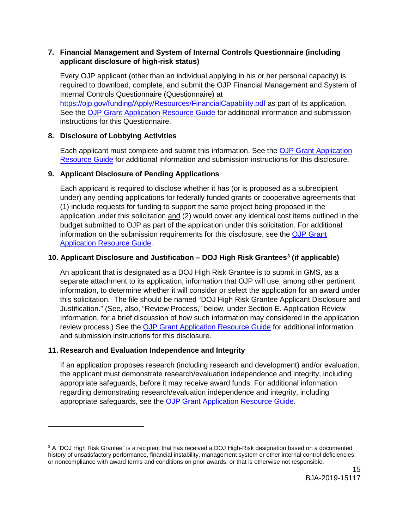#### **7. Financial Management and System of Internal Controls Questionnaire (including applicant disclosure of high-risk status)**

Every OJP applicant (other than an individual applying in his or her personal capacity) is required to download, complete, and submit the OJP Financial Management and System of Internal Controls Questionnaire (Questionnaire) at <https://ojp.gov/funding/Apply/Resources/FinancialCapability.pdf> as part of its application. See the [OJP Grant Application Resource Guide](https://www.ojp.gov/funding/Apply/Resources/Grant-App-Resource-Guide.htm) for additional information and submission

instructions for this Questionnaire.

## **8. Disclosure of Lobbying Activities**

Each applicant must complete and submit this information. See the [OJP Grant Application](https://www.ojp.gov/funding/Apply/Resources/Grant-App-Resource-Guide.htm)  [Resource Guide](https://www.ojp.gov/funding/Apply/Resources/Grant-App-Resource-Guide.htm) for additional information and submission instructions for this disclosure.

## **9. Applicant Disclosure of Pending Applications**

Each applicant is required to disclose whether it has (or is proposed as a subrecipient under) any pending applications for federally funded grants or cooperative agreements that (1) include requests for funding to support the same project being proposed in the application under this solicitation and (2) would cover any identical cost items outlined in the budget submitted to OJP as part of the application under this solicitation. For additional information on the submission requirements for this disclosure, see the [OJP Grant](https://www.ojp.gov/funding/Apply/Resources/Grant-App-Resource-Guide.htm)  [Application Resource Guide.](https://www.ojp.gov/funding/Apply/Resources/Grant-App-Resource-Guide.htm)

## **10. Applicant Disclosure and Justification – DOJ High Risk Grantees[3](#page-14-0) (if applicable)**

An applicant that is designated as a DOJ High Risk Grantee is to submit in GMS, as a separate attachment to its application, information that OJP will use, among other pertinent information, to determine whether it will consider or select the application for an award under this solicitation. The file should be named "DOJ High Risk Grantee Applicant Disclosure and Justification." (See, also, "Review Process," below, under Section E. Application Review Information, for a brief discussion of how such information may considered in the application review process.) See the [OJP Grant Application Resource Guide](https://www.ojp.gov/funding/Apply/Resources/Grant-App-Resource-Guide.htm) for additional information and submission instructions for this disclosure.

## **11. Research and Evaluation Independence and Integrity**

 $\ddot{ }$ 

If an application proposes research (including research and development) and/or evaluation, the applicant must demonstrate research/evaluation independence and integrity, including appropriate safeguards, before it may receive award funds. For additional information regarding demonstrating research/evaluation independence and integrity, including appropriate safeguards, see the [OJP Grant Application Resource Guide.](https://www.ojp.gov/funding/Apply/Resources/Grant-App-Resource-Guide.htm)

<span id="page-14-0"></span><sup>3</sup> A "DOJ High Risk Grantee" is a recipient that has received a DOJ High-Risk designation based on a documented history of unsatisfactory performance, financial instability, management system or other internal control deficiencies, or noncompliance with award terms and conditions on prior awards, or that is otherwise not responsible.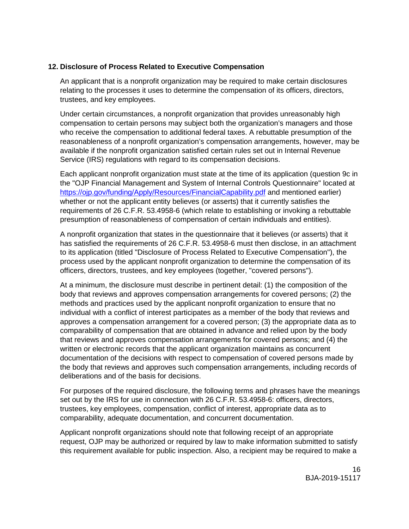#### **12. Disclosure of Process Related to Executive Compensation**

An applicant that is a nonprofit organization may be required to make certain disclosures relating to the processes it uses to determine the compensation of its officers, directors, trustees, and key employees.

Under certain circumstances, a nonprofit organization that provides unreasonably high compensation to certain persons may subject both the organization's managers and those who receive the compensation to additional federal taxes. A rebuttable presumption of the reasonableness of a nonprofit organization's compensation arrangements, however, may be available if the nonprofit organization satisfied certain rules set out in Internal Revenue Service (IRS) regulations with regard to its compensation decisions.

Each applicant nonprofit organization must state at the time of its application (question 9c in the "OJP Financial Management and System of Internal Controls Questionnaire" located at <https://ojp.gov/funding/Apply/Resources/FinancialCapability.pdf> and mentioned earlier) whether or not the applicant entity believes (or asserts) that it currently satisfies the requirements of 26 C.F.R. 53.4958-6 (which relate to establishing or invoking a rebuttable presumption of reasonableness of compensation of certain individuals and entities).

A nonprofit organization that states in the questionnaire that it believes (or asserts) that it has satisfied the requirements of 26 C.F.R. 53.4958-6 must then disclose, in an attachment to its application (titled "Disclosure of Process Related to Executive Compensation"), the process used by the applicant nonprofit organization to determine the compensation of its officers, directors, trustees, and key employees (together, "covered persons").

At a minimum, the disclosure must describe in pertinent detail: (1) the composition of the body that reviews and approves compensation arrangements for covered persons; (2) the methods and practices used by the applicant nonprofit organization to ensure that no individual with a conflict of interest participates as a member of the body that reviews and approves a compensation arrangement for a covered person; (3) the appropriate data as to comparability of compensation that are obtained in advance and relied upon by the body that reviews and approves compensation arrangements for covered persons; and (4) the written or electronic records that the applicant organization maintains as concurrent documentation of the decisions with respect to compensation of covered persons made by the body that reviews and approves such compensation arrangements, including records of deliberations and of the basis for decisions.

For purposes of the required disclosure, the following terms and phrases have the meanings set out by the IRS for use in connection with 26 C.F.R. 53.4958-6: officers, directors, trustees, key employees, compensation, conflict of interest, appropriate data as to comparability, adequate documentation, and concurrent documentation.

Applicant nonprofit organizations should note that following receipt of an appropriate request, OJP may be authorized or required by law to make information submitted to satisfy this requirement available for public inspection. Also, a recipient may be required to make a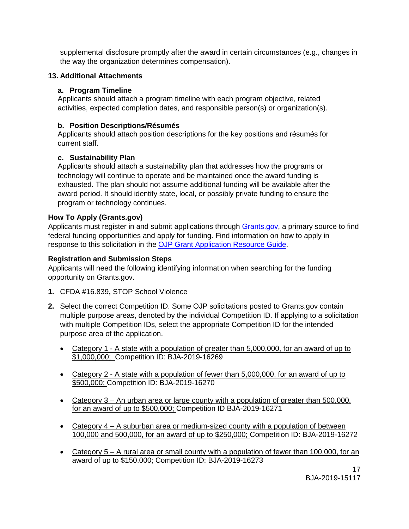supplemental disclosure promptly after the award in certain circumstances (e.g., changes in the way the organization determines compensation).

#### **13. Additional Attachments**

#### **a. Program Timeline**

Applicants should attach a program timeline with each program objective, related activities, expected completion dates, and responsible person(s) or organization(s).

#### **b. Position Descriptions/Résumés**

Applicants should attach position descriptions for the key positions and résumés for current staff.

#### **c. Sustainability Plan**

Applicants should attach a sustainability plan that addresses how the programs or technology will continue to operate and be maintained once the award funding is exhausted. The plan should not assume additional funding will be available after the award period. It should identify state, local, or possibly private funding to ensure the program or technology continues.

#### <span id="page-16-0"></span>**How To Apply (Grants.gov)**

Applicants must register in and submit applications through [Grants.gov,](https://www.grants.gov/) a primary source to find federal funding opportunities and apply for funding. Find information on how to apply in response to this solicitation in the [OJP Grant Application Resource Guide.](https://www.ojp.gov/funding/Apply/Resources/Grant-App-Resource-Guide.htm)

#### <span id="page-16-1"></span>**Registration and Submission Steps**

Applicants will need the following identifying information when searching for the funding opportunity on Grants.gov.

- **1.** CFDA #16.839**,** STOP School Violence
- **2.** Select the correct Competition ID. Some OJP solicitations posted to Grants.gov contain multiple purpose areas, denoted by the individual Competition ID. If applying to a solicitation with multiple Competition IDs, select the appropriate Competition ID for the intended purpose area of the application.
	- Category 1 A state with a population of greater than 5,000,000, for an award of up to \$1,000,000; Competition ID: BJA-2019-16269
	- Category 2 A state with a population of fewer than 5,000,000, for an award of up to \$500,000; Competition ID: BJA-2019-16270
	- Category 3 An urban area or large county with a population of greater than 500,000, for an award of up to \$500,000; Competition ID BJA-2019-16271
	- Category 4 A suburban area or medium-sized county with a population of between 100,000 and 500,000, for an award of up to \$250,000; Competition ID: BJA-2019-16272
	- Category 5 A rural area or small county with a population of fewer than 100,000, for an award of up to \$150,000; Competition ID: BJA-2019-16273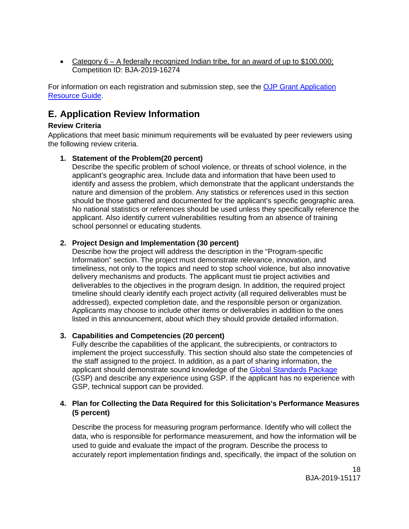• Category 6 – A federally recognized Indian tribe, for an award of up to \$100,000; Competition ID: BJA-2019-16274

For information on each registration and submission step, see the [OJP Grant Application](https://www.ojp.gov/funding/Apply/Resources/Grant-App-Resource-Guide.htm)  [Resource Guide.](https://www.ojp.gov/funding/Apply/Resources/Grant-App-Resource-Guide.htm)

# <span id="page-17-0"></span>**E. Application Review Information**

#### <span id="page-17-1"></span>**Review Criteria**

Applications that meet basic minimum requirements will be evaluated by peer reviewers using the following review criteria.

## **1. Statement of the Problem(20 percent)**

Describe the specific problem of school violence, or threats of school violence, in the applicant's geographic area. Include data and information that have been used to identify and assess the problem, which demonstrate that the applicant understands the nature and dimension of the problem. Any statistics or references used in this section should be those gathered and documented for the applicant's specific geographic area. No national statistics or references should be used unless they specifically reference the applicant. Also identify current vulnerabilities resulting from an absence of training school personnel or educating students.

#### **2. Project Design and Implementation (30 percent)**

Describe how the project will address the description in the "Program-specific Information" section. The project must demonstrate relevance, innovation, and timeliness, not only to the topics and need to stop school violence, but also innovative delivery mechanisms and products. The applicant must tie project activities and deliverables to the objectives in the program design. In addition, the required project timeline should clearly identify each project activity (all required deliverables must be addressed), expected completion date, and the responsible person or organization. Applicants may choose to include other items or deliverables in addition to the ones listed in this announcement, about which they should provide detailed information.

#### **3. Capabilities and Competencies (20 percent)**

Fully describe the capabilities of the applicant, the subrecipients, or contractors to implement the project successfully. This section should also state the competencies of the staff assigned to the project. In addition, as a part of sharing information, the applicant should demonstrate sound knowledge of the Global [Standards Package](https://it.ojp.gov/GSP) (GSP) and describe any experience using GSP. If the applicant has no experience with GSP, technical support can be provided.

#### **4. Plan for Collecting the Data Required for this Solicitation's Performance Measures (5 percent)**

Describe the process for measuring program performance. Identify who will collect the data, who is responsible for performance measurement, and how the information will be used to guide and evaluate the impact of the program. Describe the process to accurately report implementation findings and, specifically, the impact of the solution on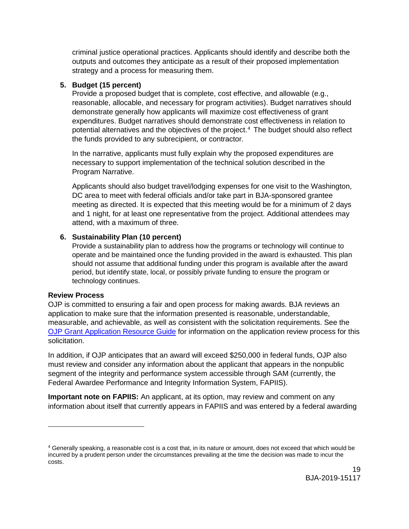criminal justice operational practices. Applicants should identify and describe both the outputs and outcomes they anticipate as a result of their proposed implementation strategy and a process for measuring them.

#### **5. Budget (15 percent)**

Provide a proposed budget that is complete, cost effective, and allowable (e.g., reasonable, allocable, and necessary for program activities). Budget narratives should demonstrate generally how applicants will maximize cost effectiveness of grant expenditures. Budget narratives should demonstrate cost effectiveness in relation to potential alternatives and the objectives of the project. [4](#page-18-1) The budget should also reflect the funds provided to any subrecipient, or contractor.

In the narrative, applicants must fully explain why the proposed expenditures are necessary to support implementation of the technical solution described in the Program Narrative.

Applicants should also budget travel/lodging expenses for one visit to the Washington, DC area to meet with federal officials and/or take part in BJA-sponsored grantee meeting as directed. It is expected that this meeting would be for a minimum of 2 days and 1 night, for at least one representative from the project. Additional attendees may attend, with a maximum of three.

#### **6. Sustainability Plan (10 percent)**

Provide a sustainability plan to address how the programs or technology will continue to operate and be maintained once the funding provided in the award is exhausted. This plan should not assume that additional funding under this program is available after the award period, but identify state, local, or possibly private funding to ensure the program or technology continues.

#### <span id="page-18-0"></span>**Review Process**

 $\ddot{ }$ 

OJP is committed to ensuring a fair and open process for making awards. BJA reviews an application to make sure that the information presented is reasonable, understandable, measurable, and achievable, as well as consistent with the solicitation requirements. See the [OJP Grant Application Resource Guide](https://www.ojp.gov/funding/Apply/Resources/Grant-App-Resource-Guide.htm) for information on the application review process for this solicitation.

In addition, if OJP anticipates that an award will exceed \$250,000 in federal funds, OJP also must review and consider any information about the applicant that appears in the nonpublic segment of the integrity and performance system accessible through SAM (currently, the Federal Awardee Performance and Integrity Information System, FAPIIS).

**Important note on FAPIIS:** An applicant, at its option, may review and comment on any information about itself that currently appears in FAPIIS and was entered by a federal awarding

<span id="page-18-1"></span> $4$  Generally speaking, a reasonable cost is a cost that, in its nature or amount, does not exceed that which would be incurred by a prudent person under the circumstances prevailing at the time the decision was made to incur the costs.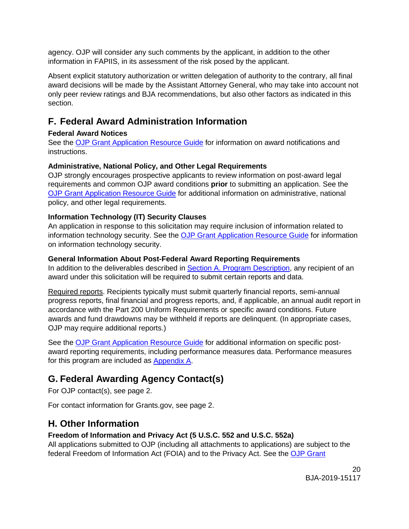agency. OJP will consider any such comments by the applicant, in addition to the other information in FAPIIS, in its assessment of the risk posed by the applicant.

Absent explicit statutory authorization or written delegation of authority to the contrary, all final award decisions will be made by the Assistant Attorney General, who may take into account not only peer review ratings and BJA recommendations, but also other factors as indicated in this section.

# <span id="page-19-0"></span>**F. Federal Award Administration Information**

#### <span id="page-19-1"></span>**Federal Award Notices**

See the [OJP Grant Application Resource Guide](https://www.ojp.gov/funding/Apply/Resources/Grant-App-Resource-Guide.htm) for information on award notifications and instructions.

## <span id="page-19-2"></span>**Administrative, National Policy, and Other Legal Requirements**

OJP strongly encourages prospective applicants to review information on post-award legal requirements and common OJP award conditions **prior** to submitting an application. See the [OJP Grant Application Resource Guide](https://www.ojp.gov/funding/Apply/Resources/Grant-App-Resource-Guide.htm) for additional information on administrative, national policy, and other legal requirements.

## <span id="page-19-3"></span>**Information Technology (IT) Security Clauses**

An application in response to this solicitation may require inclusion of information related to information technology security. See the [OJP Grant Application Resource Guide](https://www.ojp.gov/funding/Apply/Resources/Grant-App-Resource-Guide.htm) for information on information technology security.

## <span id="page-19-4"></span>**General Information About Post-Federal Award Reporting Requirements**

In addition to the deliverables described in [Section A. Program Description,](#page-5-0) any recipient of an award under this solicitation will be required to submit certain reports and data.

Required reports. Recipients typically must submit quarterly financial reports, semi-annual progress reports, final financial and progress reports, and, if applicable, an annual audit report in accordance with the Part 200 Uniform Requirements or specific award conditions. Future awards and fund drawdowns may be withheld if reports are delinquent. (In appropriate cases, OJP may require additional reports.)

See the [OJP Grant Application Resource Guide](https://www.ojp.gov/funding/Apply/Resources/Grant-App-Resource-Guide.htm) for additional information on specific postaward reporting requirements, including performance measures data. Performance measures for this program are included as [Appendix A.](#page-21-0)

# <span id="page-19-5"></span>**G. Federal Awarding Agency Contact(s)**

For OJP contact(s), see page 2.

For contact information for Grants.gov, see page 2.

# <span id="page-19-6"></span>**H. Other Information**

# <span id="page-19-7"></span>**Freedom of Information and Privacy Act (5 U.S.C. 552 and U.S.C. 552a)**

All applications submitted to OJP (including all attachments to applications) are subject to the federal Freedom of Information Act (FOIA) and to the Privacy Act. See the [OJP Grant](https://www.ojp.gov/funding/Apply/Resources/Grant-App-Resource-Guide.htm)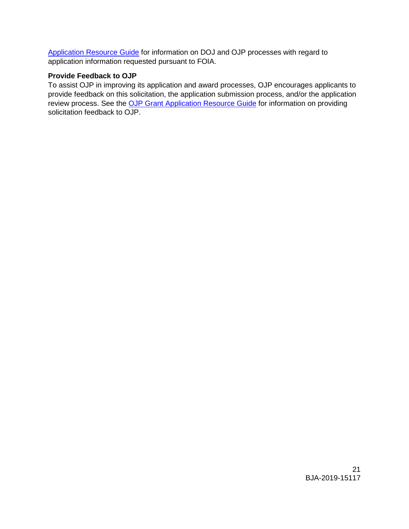[Application Resource Guide](https://www.ojp.gov/funding/Apply/Resources/Grant-App-Resource-Guide.htm) for information on DOJ and OJP processes with regard to application information requested pursuant to FOIA.

#### <span id="page-20-0"></span>**Provide Feedback to OJP**

To assist OJP in improving its application and award processes, OJP encourages applicants to provide feedback on this solicitation, the application submission process, and/or the application review process. See the [OJP Grant Application Resource Guide](https://www.ojp.gov/funding/Apply/Resources/Grant-App-Resource-Guide.htm) for information on providing solicitation feedback to OJP.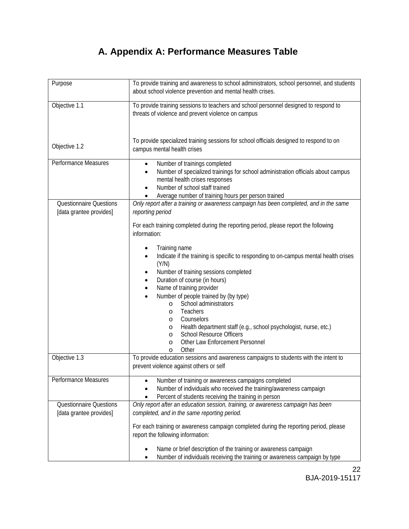# **A. Appendix A: Performance Measures Table**

<span id="page-21-0"></span>

| Purpose                        | To provide training and awareness to school administrators, school personnel, and students<br>about school violence prevention and mental health crises. |
|--------------------------------|----------------------------------------------------------------------------------------------------------------------------------------------------------|
|                                |                                                                                                                                                          |
| Objective 1.1                  | To provide training sessions to teachers and school personnel designed to respond to<br>threats of violence and prevent violence on campus               |
|                                |                                                                                                                                                          |
|                                |                                                                                                                                                          |
| Objective 1.2                  | To provide specialized training sessions for school officials designed to respond to on                                                                  |
|                                | campus mental health crises                                                                                                                              |
| Performance Measures           | Number of trainings completed<br>$\bullet$                                                                                                               |
|                                | Number of specialized trainings for school administration officials about campus<br>$\bullet$                                                            |
|                                | mental health crises responses                                                                                                                           |
|                                | Number of school staff trained<br>$\bullet$                                                                                                              |
| <b>Questionnaire Questions</b> | Average number of training hours per person trained<br>Only report after a training or awareness campaign has been completed, and in the same            |
| [data grantee provides]        | reporting period                                                                                                                                         |
|                                | For each training completed during the reporting period, please report the following                                                                     |
|                                | information:                                                                                                                                             |
|                                | Training name                                                                                                                                            |
|                                | Indicate if the training is specific to responding to on-campus mental health crises<br>$\bullet$                                                        |
|                                | (Y/N)                                                                                                                                                    |
|                                | Number of training sessions completed<br>$\bullet$                                                                                                       |
|                                | Duration of course (in hours)<br>$\bullet$                                                                                                               |
|                                | Name of training provider<br>$\bullet$                                                                                                                   |
|                                | Number of people trained by (by type)                                                                                                                    |
|                                | School administrators<br>$\circ$                                                                                                                         |
|                                | Teachers<br>$\circ$<br>Counselors                                                                                                                        |
|                                | $\circ$<br>Health department staff (e.g., school psychologist, nurse, etc.)<br>O                                                                         |
|                                | <b>School Resource Officers</b><br>$\circ$                                                                                                               |
|                                | Other Law Enforcement Personnel<br>O                                                                                                                     |
|                                | Other<br>$\circ$                                                                                                                                         |
| Objective 1.3                  | To provide education sessions and awareness campaigns to students with the intent to                                                                     |
|                                | prevent violence against others or self                                                                                                                  |
| Performance Measures           | Number of training or awareness campaigns completed                                                                                                      |
|                                | Number of individuals who received the training/awareness campaign                                                                                       |
|                                | Percent of students receiving the training in person                                                                                                     |
| <b>Questionnaire Questions</b> | Only report after an education session, training, or awareness campaign has been                                                                         |
| [data grantee provides]        | completed, and in the same reporting period.                                                                                                             |
|                                | For each training or awareness campaign completed during the reporting period, please                                                                    |
|                                | report the following information:                                                                                                                        |
|                                |                                                                                                                                                          |
|                                | Name or brief description of the training or awareness campaign                                                                                          |
|                                | Number of individuals receiving the training or awareness campaign by type                                                                               |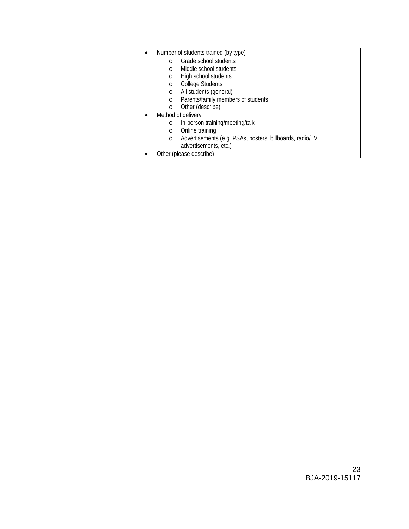|                                 | Number of students trained (by type)                     |
|---------------------------------|----------------------------------------------------------|
| O                               | Grade school students                                    |
| $\Omega$                        | Middle school students                                   |
| O                               | High school students                                     |
| $\circ$                         | <b>College Students</b>                                  |
| $\circ$                         | All students (general)                                   |
| O                               | Parents/family members of students                       |
| $\circ$                         | Other (describe)                                         |
| Method of delivery<br>$\bullet$ |                                                          |
| O                               | In-person training/meeting/talk                          |
| O                               | Online training                                          |
| $\circ$                         | Advertisements (e.g. PSAs, posters, billboards, radio/TV |
|                                 | advertisements, etc.)                                    |
| Other (please describe)         |                                                          |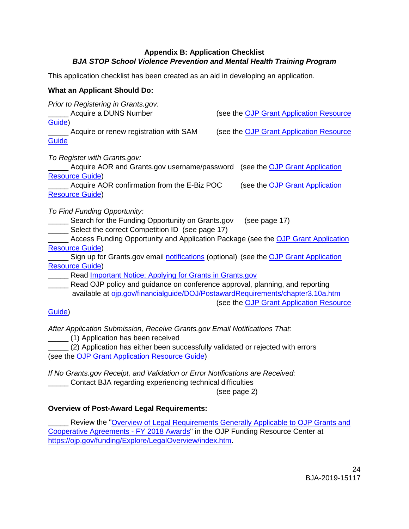## **Appendix B: Application Checklist** *BJA STOP School Violence Prevention and Mental Health Training Program*

<span id="page-23-0"></span>This application checklist has been created as an aid in developing an application.

#### **What an Applicant Should Do:**

| Prior to Registering in Grants.gov:                                                  |  |                                                |
|--------------------------------------------------------------------------------------|--|------------------------------------------------|
| Acquire a DUNS Number                                                                |  | (see the <b>OJP Grant Application Resource</b> |
| Guide)                                                                               |  |                                                |
| Acquire or renew registration with SAM                                               |  | (see the OJP Grant Application Resource        |
| <b>Guide</b>                                                                         |  |                                                |
| To Register with Grants.gov:                                                         |  |                                                |
| Acquire AOR and Grants.gov username/password (see the OJP Grant Application          |  |                                                |
| <b>Resource Guide)</b>                                                               |  |                                                |
| Acquire AOR confirmation from the E-Biz POC                                          |  | (see the OJP Grant Application                 |
| <b>Resource Guide)</b>                                                               |  |                                                |
| To Find Funding Opportunity:                                                         |  |                                                |
| Search for the Funding Opportunity on Grants.gov                                     |  | (see page 17)                                  |
| Select the correct Competition ID (see page 17)                                      |  |                                                |
| Access Funding Opportunity and Application Package (see the OJP Grant Application    |  |                                                |
| <b>Resource Guide)</b>                                                               |  |                                                |
| Sign up for Grants.gov email notifications (optional) (see the OJP Grant Application |  |                                                |
| <b>Resource Guide)</b>                                                               |  |                                                |
| Read <b>Important Notice: Applying for Grants in Grants.gov</b>                      |  |                                                |
| Read OJP policy and guidance on conference approval, planning, and reporting         |  |                                                |
| available at ojp.gov/financialguide/DOJ/PostawardRequirements/chapter3.10a.htm       |  |                                                |
|                                                                                      |  | (see the OJP Grant Application Resource        |
| Guide)                                                                               |  |                                                |
|                                                                                      |  |                                                |

*After Application Submission, Receive Grants.gov Email Notifications That:*

\_\_\_\_\_ (1) Application has been received

\_\_\_\_\_ (2) Application has either been successfully validated or rejected with errors (see the [OJP Grant Application Resource Guide\)](https://www.ojp.gov/funding/Apply/Resources/Grant-App-Resource-Guide.htm)

*If No Grants.gov Receipt, and Validation or Error Notifications are Received:* \_\_\_\_\_ Contact BJA regarding experiencing technical difficulties

(see page 2)

## **Overview of Post-Award Legal Requirements:**

Review the "Overview of Legal Requirements Generally Applicable to OJP Grants and [Cooperative Agreements](https://ojp.gov/funding/Explore/LegalOverview/index.htm) - FY 2018 Awards" in the OJP Funding Resource Center at [https://ojp.gov/funding/Explore/LegalOverview/index.htm.](https://ojp.gov/funding/Explore/LegalOverview/index.htm)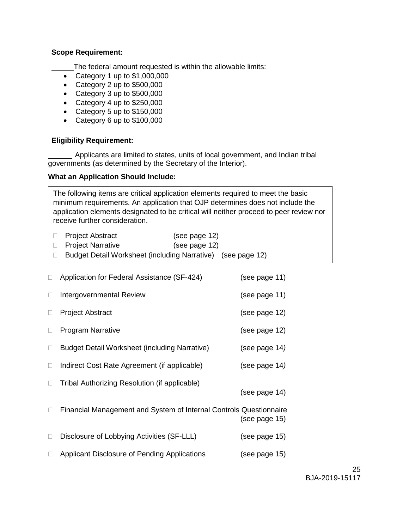#### **Scope Requirement:**

The federal amount requested is within the allowable limits:

- Category 1 up to \$1,000,000
- Category 2 up to \$500,000
- Category 3 up to \$500,000
- Category 4 up to \$250,000
- Category 5 up to \$150,000
- Category 6 up to \$100,000

#### **Eligibility Requirement:**

Applicants are limited to states, units of local government, and Indian tribal governments (as determined by the Secretary of the Interior).

#### **What an Application Should Include:**

The following items are critical application elements required to meet the basic minimum requirements. An application that OJP determines does not include the application elements designated to be critical will neither proceed to peer review nor receive further consideration.

| □ Project Abstract         | (see page 12)                                               |
|----------------------------|-------------------------------------------------------------|
| <b>D</b> Project Narrative | (see page 12)                                               |
|                            | Budget Detail Worksheet (including Narrative) (see page 12) |

| Application for Federal Assistance (SF-424)                        | (see page 11) |
|--------------------------------------------------------------------|---------------|
| Intergovernmental Review                                           | (see page 11) |
| <b>Project Abstract</b>                                            | (see page 12) |
| <b>Program Narrative</b>                                           | (see page 12) |
| Budget Detail Worksheet (including Narrative)                      | (see page 14) |
| Indirect Cost Rate Agreement (if applicable)                       | (see page 14) |
| Tribal Authorizing Resolution (if applicable)                      | (see page 14) |
| Financial Management and System of Internal Controls Questionnaire | (see page 15) |
| Disclosure of Lobbying Activities (SF-LLL)                         | (see page 15) |
| Applicant Disclosure of Pending Applications                       | (see page 15) |